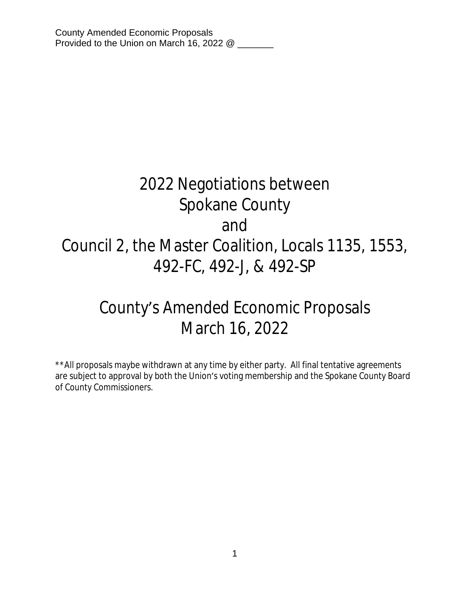# 2022 Negotiations between Spokane County and Council 2, the Master Coalition, Locals 1135, 1553, 492-FC, 492-J, & 492-SP

# County's Amended Economic Proposals March 16, 2022

\*\*All proposals maybe withdrawn at any time by either party. All final tentative agreements are subject to approval by both the Union's voting membership and the Spokane County Board of County Commissioners.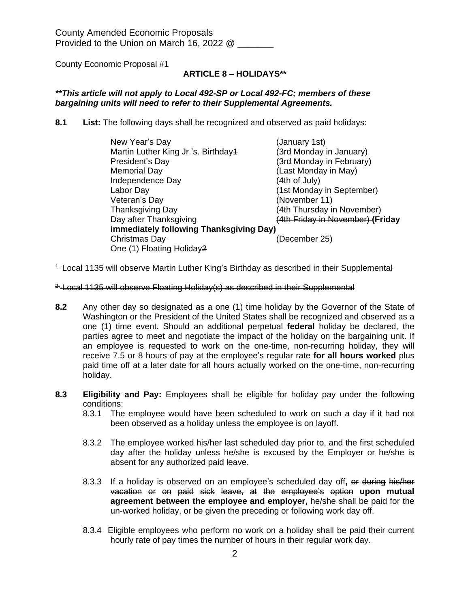County Economic Proposal #1

# **ARTICLE 8 – HOLIDAYS\*\***

#### *\*\*This article will not apply to Local 492-SP or Local 492-FC; members of these bargaining units will need to refer to their Supplemental Agreements.*

**8.1 List:** The following days shall be recognized and observed as paid holidays:

| New Year's Day                          | (January 1st)                    |  |
|-----------------------------------------|----------------------------------|--|
| Martin Luther King Jr.'s. Birthday4     | (3rd Monday in January)          |  |
| President's Day                         | (3rd Monday in February)         |  |
| <b>Memorial Day</b>                     | (Last Monday in May)             |  |
| Independence Day                        | (4th of July)                    |  |
| Labor Day                               | (1st Monday in September)        |  |
| Veteran's Day                           | (November 11)                    |  |
| <b>Thanksgiving Day</b>                 | (4th Thursday in November)       |  |
| Day after Thanksgiving                  | (4th Friday in November) (Friday |  |
| immediately following Thanksgiving Day) |                                  |  |
| Christmas Day                           | (December 25)                    |  |
| One (1) Floating Holiday2               |                                  |  |

<sup>1-</sup> Local 1135 will observe Martin Luther King's Birthday as described in their Supplemental

- <sup>2.</sup> Local 1135 will observe Floating Holiday(s) as described in their Supplemental
- **8.2** Any other day so designated as a one (1) time holiday by the Governor of the State of Washington or the President of the United States shall be recognized and observed as a one (1) time event. Should an additional perpetual **federal** holiday be declared, the parties agree to meet and negotiate the impact of the holiday on the bargaining unit. If an employee is requested to work on the one-time, non-recurring holiday, they will receive 7.5 or 8 hours of pay at the employee's regular rate **for all hours worked** plus paid time off at a later date for all hours actually worked on the one-time, non-recurring holiday.
- **8.3 Eligibility and Pay:** Employees shall be eligible for holiday pay under the following conditions:
	- 8.3.1 The employee would have been scheduled to work on such a day if it had not been observed as a holiday unless the employee is on layoff.
	- 8.3.2 The employee worked his/her last scheduled day prior to, and the first scheduled day after the holiday unless he/she is excused by the Employer or he/she is absent for any authorized paid leave.
	- 8.3.3 If a holiday is observed on an employee's scheduled day off**,** or during his/her vacation or on paid sick leave, at the employee's option **upon mutual agreement between the employee and employer,** he/she shall be paid for the un-worked holiday, or be given the preceding or following work day off.
	- 8.3.4 Eligible employees who perform no work on a holiday shall be paid their current hourly rate of pay times the number of hours in their regular work day.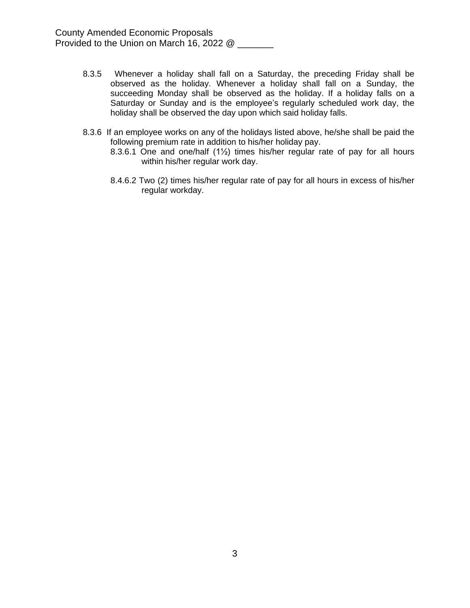- 8.3.5 Whenever a holiday shall fall on a Saturday, the preceding Friday shall be observed as the holiday. Whenever a holiday shall fall on a Sunday, the succeeding Monday shall be observed as the holiday. If a holiday falls on a Saturday or Sunday and is the employee's regularly scheduled work day, the holiday shall be observed the day upon which said holiday falls.
- 8.3.6 If an employee works on any of the holidays listed above, he/she shall be paid the following premium rate in addition to his/her holiday pay.
	- 8.3.6.1 One and one/half (1½) times his/her regular rate of pay for all hours within his/her regular work day.
	- 8.4.6.2 Two (2) times his/her regular rate of pay for all hours in excess of his/her regular workday.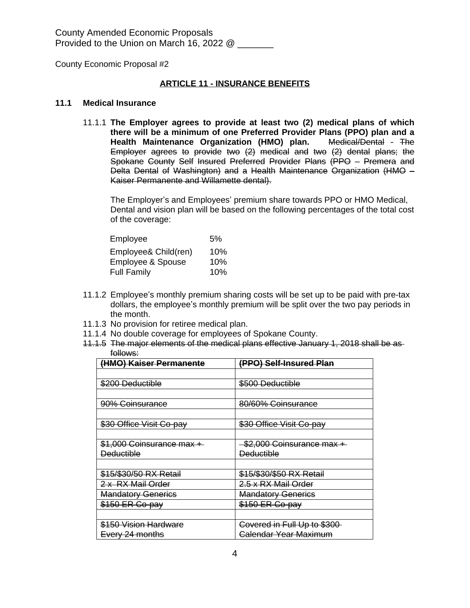## **ARTICLE 11 - INSURANCE BENEFITS**

#### **11.1 Medical Insurance**

11.1.1 **The Employer agrees to provide at least two (2) medical plans of which there will be a minimum of one Preferred Provider Plans (PPO) plan and a Health Maintenance Organization (HMO) plan.** Medical/Dental - The Employer agrees to provide two (2) medical and two (2) dental plans; the Spokane County Self Insured Preferred Provider Plans (PPO – Premera and Delta Dental of Washington) and a Health Maintenance Organization (HMO – Kaiser Permanente and Willamette dental).

The Employer's and Employees' premium share towards PPO or HMO Medical, Dental and vision plan will be based on the following percentages of the total cost of the coverage:

| Employee                     | 5%  |
|------------------------------|-----|
| Employee& Child(ren)         | 10% |
| <b>Employee &amp; Spouse</b> | 10% |
| <b>Full Family</b>           | 10% |

- 11.1.2 Employee's monthly premium sharing costs will be set up to be paid with pre-tax dollars, the employee's monthly premium will be split over the two pay periods in the month.
- 11.1.3 No provision for retiree medical plan.
- 11.1.4 No double coverage for employees of Spokane County.
- 11.1.5 The major elements of the medical plans effective January 1, 2018 shall be as follows:

| (HMO) Kaiser Permanente          | (PPO) Self-Insured Plan     |
|----------------------------------|-----------------------------|
|                                  |                             |
| \$200 Deductible                 | \$500 Deductible            |
|                                  |                             |
| 90% Coinsurance                  | 80/60% Coinsurance          |
|                                  |                             |
| \$30 Office Visit Co-pay         | \$30 Office Visit Co-pay    |
|                                  |                             |
| \$1,000 Coinsurance max +        | -\$2,000 Coinsurance max +  |
| <b>Deductible</b>                | <b>Deductible</b>           |
|                                  |                             |
| \$15/\$30/50 RX Retail           | \$15/\$30/\$50 RX Retail    |
| 2 x RX Mail Order                | 2.5 x RX Mail Order         |
| <b>Mandatory Generics</b>        | <b>Mandatory Generics</b>   |
| \$150 ER Co-pay                  | \$150 ER Co-pay             |
|                                  |                             |
| <del>\$150 Vision Hardware</del> | Covered in Full Up to \$300 |
| Every 24 months                  | Galendar Year Maximum       |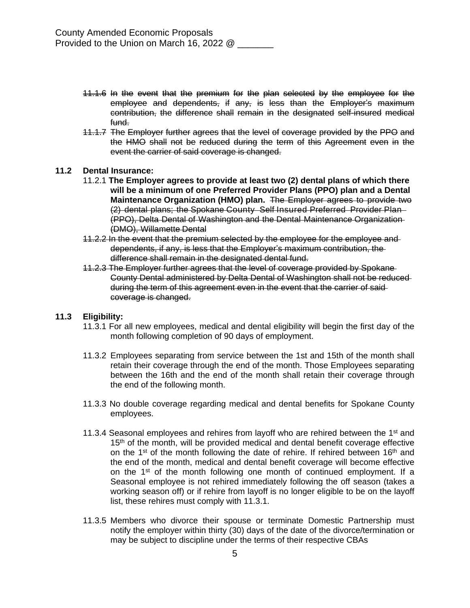- 11.1.6 In the event that the premium for the plan selected by the employee for the employee and dependents, if any, is less than the Employer's maximum contribution, the difference shall remain in the designated self-insured medical fund.
- 11.1.7 The Employer further agrees that the level of coverage provided by the PPO and the HMO shall not be reduced during the term of this Agreement even in the event the carrier of said coverage is changed.

#### **11.2 Dental Insurance:**

- 11.2.1 **The Employer agrees to provide at least two (2) dental plans of which there will be a minimum of one Preferred Provider Plans (PPO) plan and a Dental Maintenance Organization (HMO) plan.** The Employer agrees to provide two (2) dental plans; the Spokane County Self Insured Preferred Provider Plan (PPO), Delta Dental of Washington and the Dental Maintenance Organization (DMO), Willamette Dental
- 11.2.2 In the event that the premium selected by the employee for the employee and dependents, if any, is less that the Employer's maximum contribution, the difference shall remain in the designated dental fund.
- 11.2.3 The Employer further agrees that the level of coverage provided by Spokane County Dental administered by Delta Dental of Washington shall not be reduced during the term of this agreement even in the event that the carrier of said coverage is changed.

#### **11.3 Eligibility:**

- 11.3.1 For all new employees, medical and dental eligibility will begin the first day of the month following completion of 90 days of employment.
- 11.3.2 Employees separating from service between the 1st and 15th of the month shall retain their coverage through the end of the month. Those Employees separating between the 16th and the end of the month shall retain their coverage through the end of the following month.
- 11.3.3 No double coverage regarding medical and dental benefits for Spokane County employees.
- 11.3.4 Seasonal employees and rehires from layoff who are rehired between the  $1<sup>st</sup>$  and 15<sup>th</sup> of the month, will be provided medical and dental benefit coverage effective on the 1<sup>st</sup> of the month following the date of rehire. If rehired between 16<sup>th</sup> and the end of the month, medical and dental benefit coverage will become effective on the 1<sup>st</sup> of the month following one month of continued employment. If a Seasonal employee is not rehired immediately following the off season (takes a working season off) or if rehire from layoff is no longer eligible to be on the layoff list, these rehires must comply with 11.3.1.
- 11.3.5 Members who divorce their spouse or terminate Domestic Partnership must notify the employer within thirty (30) days of the date of the divorce/termination or may be subject to discipline under the terms of their respective CBAs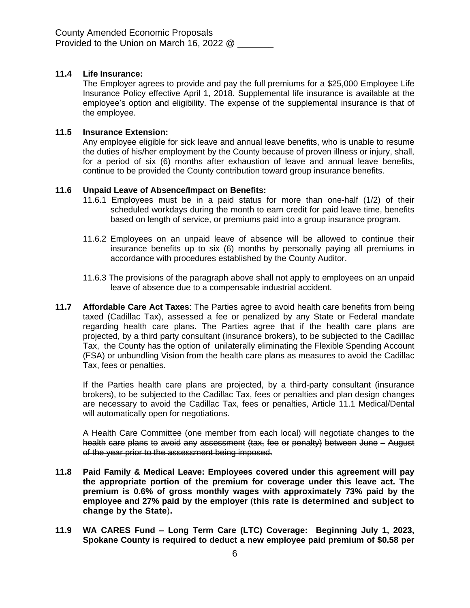# **11.4 Life Insurance:**

The Employer agrees to provide and pay the full premiums for a \$25,000 Employee Life Insurance Policy effective April 1, 2018. Supplemental life insurance is available at the employee's option and eligibility. The expense of the supplemental insurance is that of the employee.

## **11.5 Insurance Extension:**

Any employee eligible for sick leave and annual leave benefits, who is unable to resume the duties of his/her employment by the County because of proven illness or injury, shall, for a period of six (6) months after exhaustion of leave and annual leave benefits, continue to be provided the County contribution toward group insurance benefits.

#### **11.6 Unpaid Leave of Absence/Impact on Benefits:**

- 11.6.1 Employees must be in a paid status for more than one-half (1/2) of their scheduled workdays during the month to earn credit for paid leave time, benefits based on length of service, or premiums paid into a group insurance program.
- 11.6.2 Employees on an unpaid leave of absence will be allowed to continue their insurance benefits up to six (6) months by personally paying all premiums in accordance with procedures established by the County Auditor.
- 11.6.3 The provisions of the paragraph above shall not apply to employees on an unpaid leave of absence due to a compensable industrial accident.
- **11.7 Affordable Care Act Taxes**: The Parties agree to avoid health care benefits from being taxed (Cadillac Tax), assessed a fee or penalized by any State or Federal mandate regarding health care plans. The Parties agree that if the health care plans are projected, by a third party consultant (insurance brokers), to be subjected to the Cadillac Tax, the County has the option of unilaterally eliminating the Flexible Spending Account (FSA) or unbundling Vision from the health care plans as measures to avoid the Cadillac Tax, fees or penalties.

If the Parties health care plans are projected, by a third-party consultant (insurance brokers), to be subjected to the Cadillac Tax, fees or penalties and plan design changes are necessary to avoid the Cadillac Tax, fees or penalties, Article 11.1 Medical/Dental will automatically open for negotiations.

A Health Care Committee (one member from each local) will negotiate changes to the health care plans to avoid any assessment (tax, fee or penalty) between June – August of the year prior to the assessment being imposed.

- **11.8 Paid Family & Medical Leave: Employees covered under this agreement will pay the appropriate portion of the premium for coverage under this leave act. The premium is 0.6% of gross monthly wages with approximately 73% paid by the employee and 27% paid by the employer** (**this rate is determined and subject to change by the State**)**.**
- **11.9 WA CARES Fund – Long Term Care (LTC) Coverage: Beginning July 1, 2023, Spokane County is required to deduct a new employee paid premium of \$0.58 per**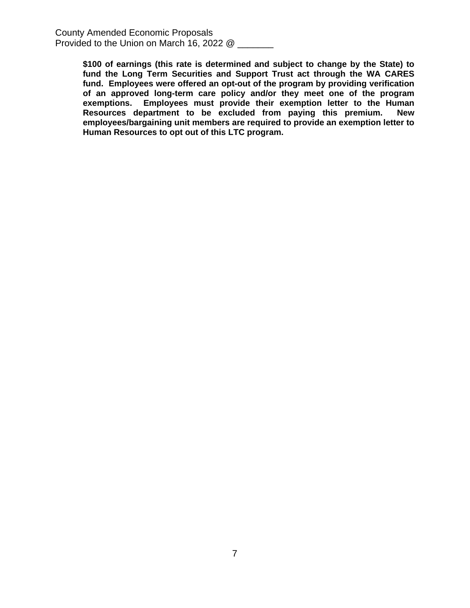> **\$100 of earnings (this rate is determined and subject to change by the State) to fund the Long Term Securities and Support Trust act through the WA CARES fund. Employees were offered an opt-out of the program by providing verification of an approved long-term care policy and/or they meet one of the program exemptions. Employees must provide their exemption letter to the Human Resources department to be excluded from paying this premium. New employees/bargaining unit members are required to provide an exemption letter to Human Resources to opt out of this LTC program.**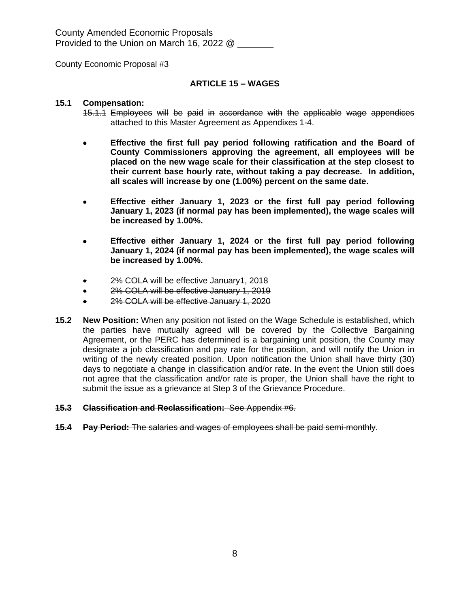County Economic Proposal #3

#### **ARTICLE 15 – WAGES**

#### **15.1 Compensation:**

- 15.1.1 Employees will be paid in accordance with the applicable wage appendices attached to this Master Agreement as Appendixes 1-4.
- **Effective the first full pay period following ratification and the Board of County Commissioners approving the agreement, all employees will be placed on the new wage scale for their classification at the step closest to their current base hourly rate, without taking a pay decrease. In addition, all scales will increase by one (1.00%) percent on the same date.**
- **Effective either January 1, 2023 or the first full pay period following January 1, 2023 (if normal pay has been implemented), the wage scales will be increased by 1.00%.**
- **Effective either January 1, 2024 or the first full pay period following January 1, 2024 (if normal pay has been implemented), the wage scales will be increased by 1.00%.**
- 2% COLA will be effective January1, 2018
- 2% COLA will be effective January 1, 2019
- 2% COLA will be effective January 1, 2020
- **15.2 New Position:** When any position not listed on the Wage Schedule is established, which the parties have mutually agreed will be covered by the Collective Bargaining Agreement, or the PERC has determined is a bargaining unit position, the County may designate a job classification and pay rate for the position, and will notify the Union in writing of the newly created position. Upon notification the Union shall have thirty (30) days to negotiate a change in classification and/or rate. In the event the Union still does not agree that the classification and/or rate is proper, the Union shall have the right to submit the issue as a grievance at Step 3 of the Grievance Procedure.

#### **15.3 Classification and Reclassification:** See Appendix #6.

**15.4 Pay Period:** The salaries and wages of employees shall be paid semi-monthly.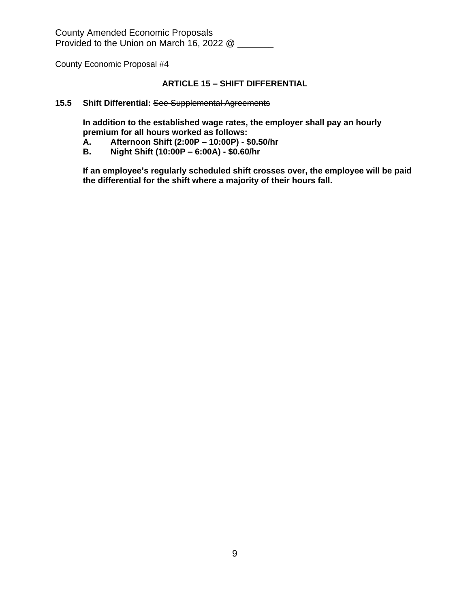County Economic Proposal #4

# **ARTICLE 15 – SHIFT DIFFERENTIAL**

#### **15.5 Shift Differential:** See Supplemental Agreements

**In addition to the established wage rates, the employer shall pay an hourly premium for all hours worked as follows:**

- **A. Afternoon Shift (2:00P – 10:00P) \$0.50/hr**
- **B. Night Shift (10:00P – 6:00A) \$0.60/hr**

**If an employee's regularly scheduled shift crosses over, the employee will be paid the differential for the shift where a majority of their hours fall.**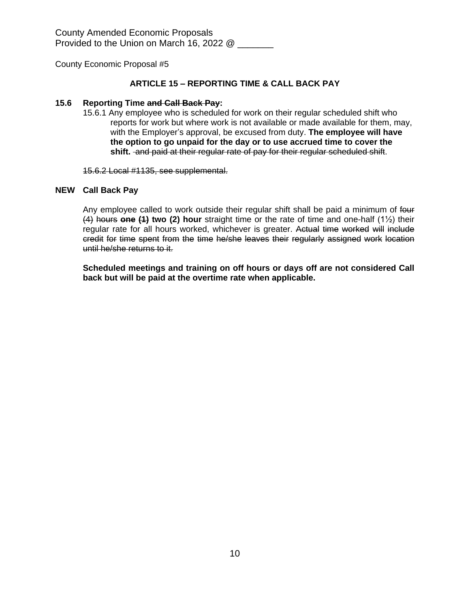#### **ARTICLE 15 – REPORTING TIME & CALL BACK PAY**

#### **15.6 Reporting Time and Call Back Pay:**

15.6.1 Any employee who is scheduled for work on their regular scheduled shift who reports for work but where work is not available or made available for them, may, with the Employer's approval, be excused from duty. **The employee will have the option to go unpaid for the day or to use accrued time to cover the shift.** and paid at their regular rate of pay for their regular scheduled shift.

15.6.2 Local #1135, see supplemental.

#### **NEW Call Back Pay**

Any employee called to work outside their regular shift shall be paid a minimum of four (4) hours **one (1) two (2) hour** straight time or the rate of time and one-half (1½) their regular rate for all hours worked, whichever is greater. Actual time worked will include credit for time spent from the time he/she leaves their regularly assigned work location until he/she returns to it.

**Scheduled meetings and training on off hours or days off are not considered Call back but will be paid at the overtime rate when applicable.**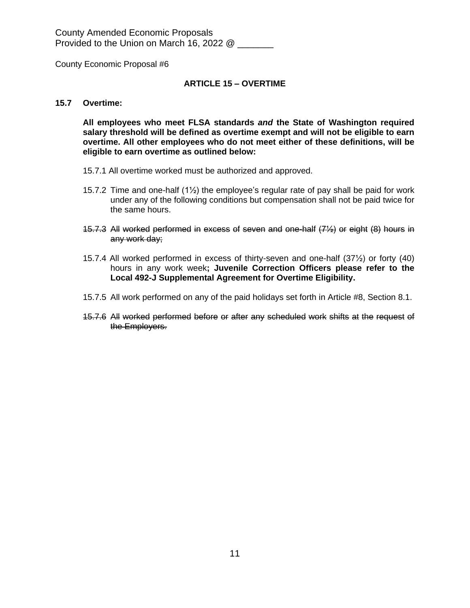County Economic Proposal #6

#### **ARTICLE 15 – OVERTIME**

#### **15.7 Overtime:**

**All employees who meet FLSA standards** *and* **the State of Washington required salary threshold will be defined as overtime exempt and will not be eligible to earn overtime. All other employees who do not meet either of these definitions, will be eligible to earn overtime as outlined below:**

- 15.7.1 All overtime worked must be authorized and approved.
- 15.7.2 Time and one-half  $(1/2)$  the employee's regular rate of pay shall be paid for work under any of the following conditions but compensation shall not be paid twice for the same hours.
- 15.7.3 All worked performed in excess of seven and one-half (7½) or eight (8) hours in any work day;
- 15.7.4 All worked performed in excess of thirty-seven and one-half (37½) or forty (40) hours in any work week**; Juvenile Correction Officers please refer to the Local 492-J Supplemental Agreement for Overtime Eligibility.**
- 15.7.5 All work performed on any of the paid holidays set forth in Article #8, Section 8.1.
- 15.7.6 All worked performed before or after any scheduled work shifts at the request of the Employers.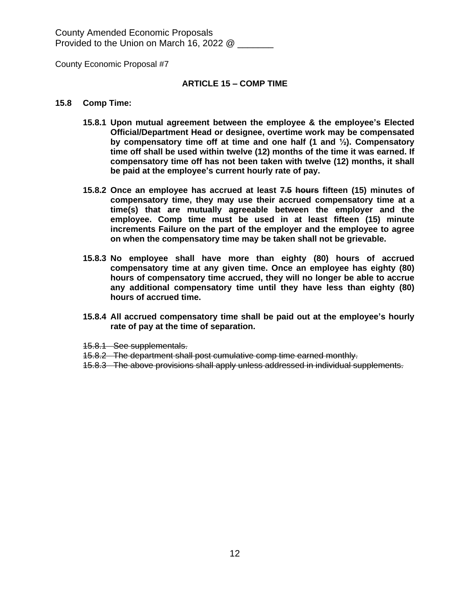County Economic Proposal #7

#### **ARTICLE 15 – COMP TIME**

#### **15.8 Comp Time:**

- **15.8.1 Upon mutual agreement between the employee & the employee's Elected Official/Department Head or designee, overtime work may be compensated by compensatory time off at time and one half (1 and ½). Compensatory time off shall be used within twelve (12) months of the time it was earned. If compensatory time off has not been taken with twelve (12) months, it shall be paid at the employee's current hourly rate of pay.**
- **15.8.2 Once an employee has accrued at least 7.5 hours fifteen (15) minutes of compensatory time, they may use their accrued compensatory time at a time(s) that are mutually agreeable between the employer and the employee. Comp time must be used in at least fifteen (15) minute increments Failure on the part of the employer and the employee to agree on when the compensatory time may be taken shall not be grievable.**
- **15.8.3 No employee shall have more than eighty (80) hours of accrued compensatory time at any given time. Once an employee has eighty (80) hours of compensatory time accrued, they will no longer be able to accrue any additional compensatory time until they have less than eighty (80) hours of accrued time.**
- **15.8.4 All accrued compensatory time shall be paid out at the employee's hourly rate of pay at the time of separation.**
- 15.8.1 See supplementals.
- 15.8.2 The department shall post cumulative comp time earned monthly.
- 15.8.3 The above provisions shall apply unless addressed in individual supplements.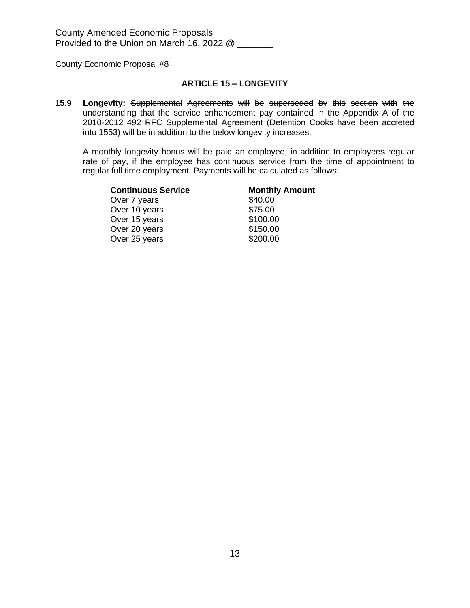#### **ARTICLE 15 – LONGEVITY**

**15.9 Longevity:** Supplemental Agreements will be superseded by this section with the understanding that the service enhancement pay contained in the Appendix A of the 2010-2012 492 RFC Supplemental Agreement (Detention Cooks have been accreted into 1553) will be in addition to the below longevity increases.

A monthly longevity bonus will be paid an employee, in addition to employees regular rate of pay, if the employee has continuous service from the time of appointment to regular full time employment. Payments will be calculated as follows:

| <b>Continuous Service</b> | <b>Monthly Amount</b> |
|---------------------------|-----------------------|
| Over 7 years              | \$40.00               |
| Over 10 years             | \$75.00               |
| Over 15 years             | \$100.00              |
| Over 20 years             | \$150.00              |
| Over 25 years             | \$200.00              |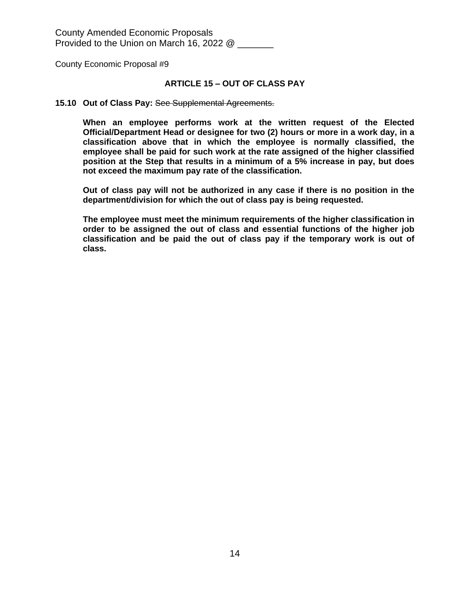#### **ARTICLE 15 – OUT OF CLASS PAY**

#### **15.10 Out of Class Pay:** See Supplemental Agreements.

**When an employee performs work at the written request of the Elected Official/Department Head or designee for two (2) hours or more in a work day, in a classification above that in which the employee is normally classified, the employee shall be paid for such work at the rate assigned of the higher classified position at the Step that results in a minimum of a 5% increase in pay, but does not exceed the maximum pay rate of the classification.**

**Out of class pay will not be authorized in any case if there is no position in the department/division for which the out of class pay is being requested.**

**The employee must meet the minimum requirements of the higher classification in order to be assigned the out of class and essential functions of the higher job classification and be paid the out of class pay if the temporary work is out of class.**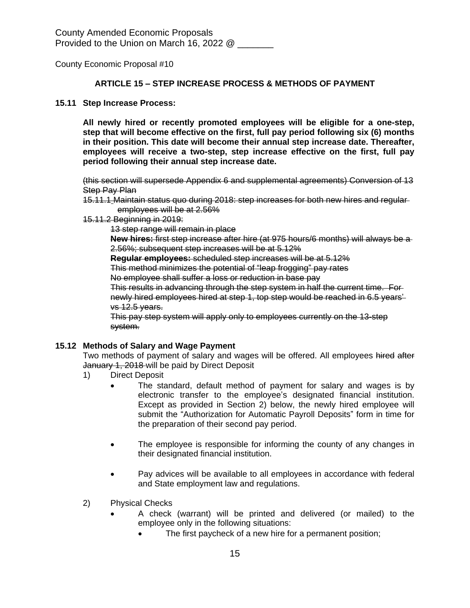#### **ARTICLE 15 – STEP INCREASE PROCESS & METHODS OF PAYMENT**

#### **15.11 Step Increase Process:**

**All newly hired or recently promoted employees will be eligible for a one-step, step that will become effective on the first, full pay period following six (6) months in their position. This date will become their annual step increase date. Thereafter, employees will receive a two-step, step increase effective on the first, full pay period following their annual step increase date.**

(this section will supersede Appendix 6 and supplemental agreements) Conversion of 13 **Step Pay Plan** 

- 15.11.1 Maintain status quo during 2018: step increases for both new hires and regular employees will be at 2.56%
- 15.11.2 Beginning in 2019:

13 step range will remain in place

**New hires:** first step increase after hire (at 975 hours/6 months) will always be a 2.56%; subsequent step increases will be at 5.12%

**Regular employees:** scheduled step increases will be at 5.12%

This method minimizes the potential of "leap frogging" pay rates

No employee shall suffer a loss or reduction in base pay

This results in advancing through the step system in half the current time. For newly hired employees hired at step 1, top step would be reached in 6.5 years' vs 12.5 years.

This pay step system will apply only to employees currently on the 13-step system.

#### **15.12 Methods of Salary and Wage Payment**

Two methods of payment of salary and wages will be offered. All employees hired after January 1, 2018 will be paid by Direct Deposit

- 1) Direct Deposit
	- The standard, default method of payment for salary and wages is by electronic transfer to the employee's designated financial institution. Except as provided in Section 2) below, the newly hired employee will submit the "Authorization for Automatic Payroll Deposits" form in time for the preparation of their second pay period.
	- The employee is responsible for informing the county of any changes in their designated financial institution.
	- Pay advices will be available to all employees in accordance with federal and State employment law and regulations.
- 2) Physical Checks
	- A check (warrant) will be printed and delivered (or mailed) to the employee only in the following situations:
		- The first paycheck of a new hire for a permanent position;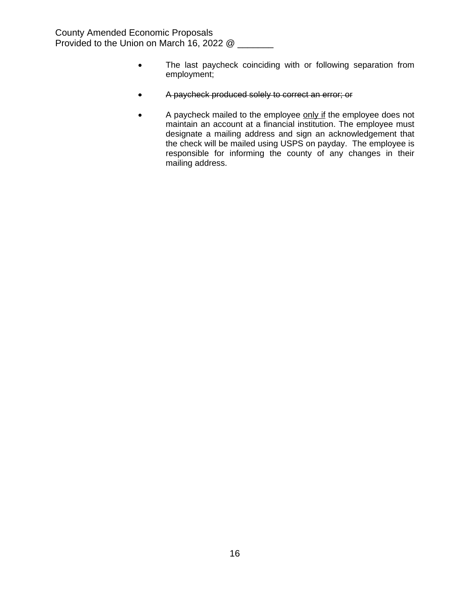- The last paycheck coinciding with or following separation from employment;
- A paycheck produced solely to correct an error; or
- A paycheck mailed to the employee only if the employee does not maintain an account at a financial institution. The employee must designate a mailing address and sign an acknowledgement that the check will be mailed using USPS on payday. The employee is responsible for informing the county of any changes in their mailing address.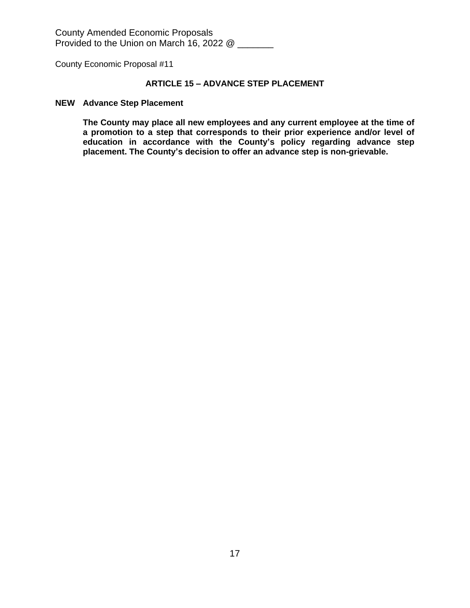County Economic Proposal #11

# **ARTICLE 15 – ADVANCE STEP PLACEMENT**

#### **NEW Advance Step Placement**

**The County may place all new employees and any current employee at the time of a promotion to a step that corresponds to their prior experience and/or level of education in accordance with the County's policy regarding advance step placement. The County's decision to offer an advance step is non-grievable.**